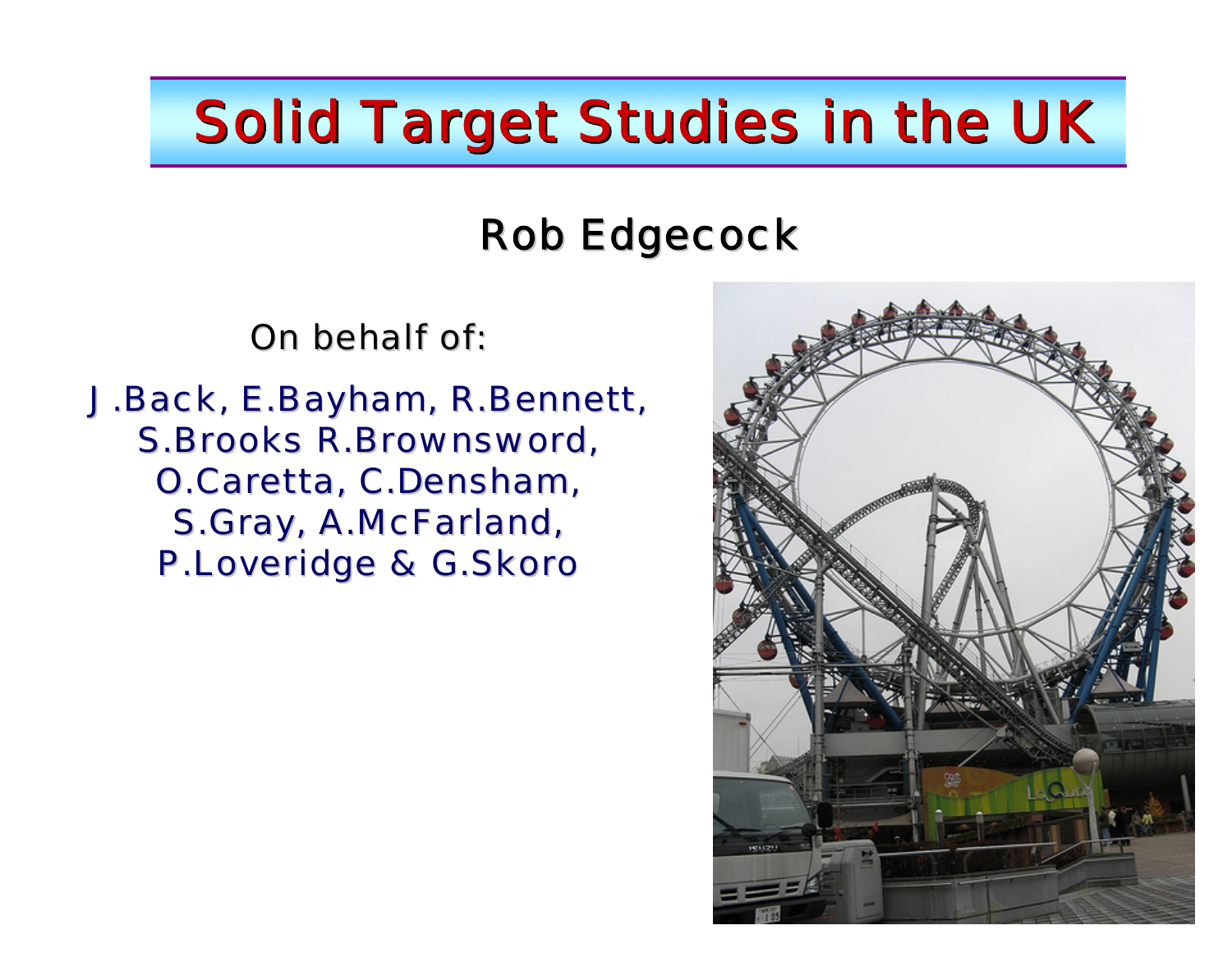# Solid Target Studies in the UK

### **Rob Edgecock**

On behalf of:

J.Back, E.Bayham, R.Bennett, S.Brooks R.Brownsword, O.Caretta, C.Densham, S.Gray, A.McFarland, P.Loveridge & G.Skoro

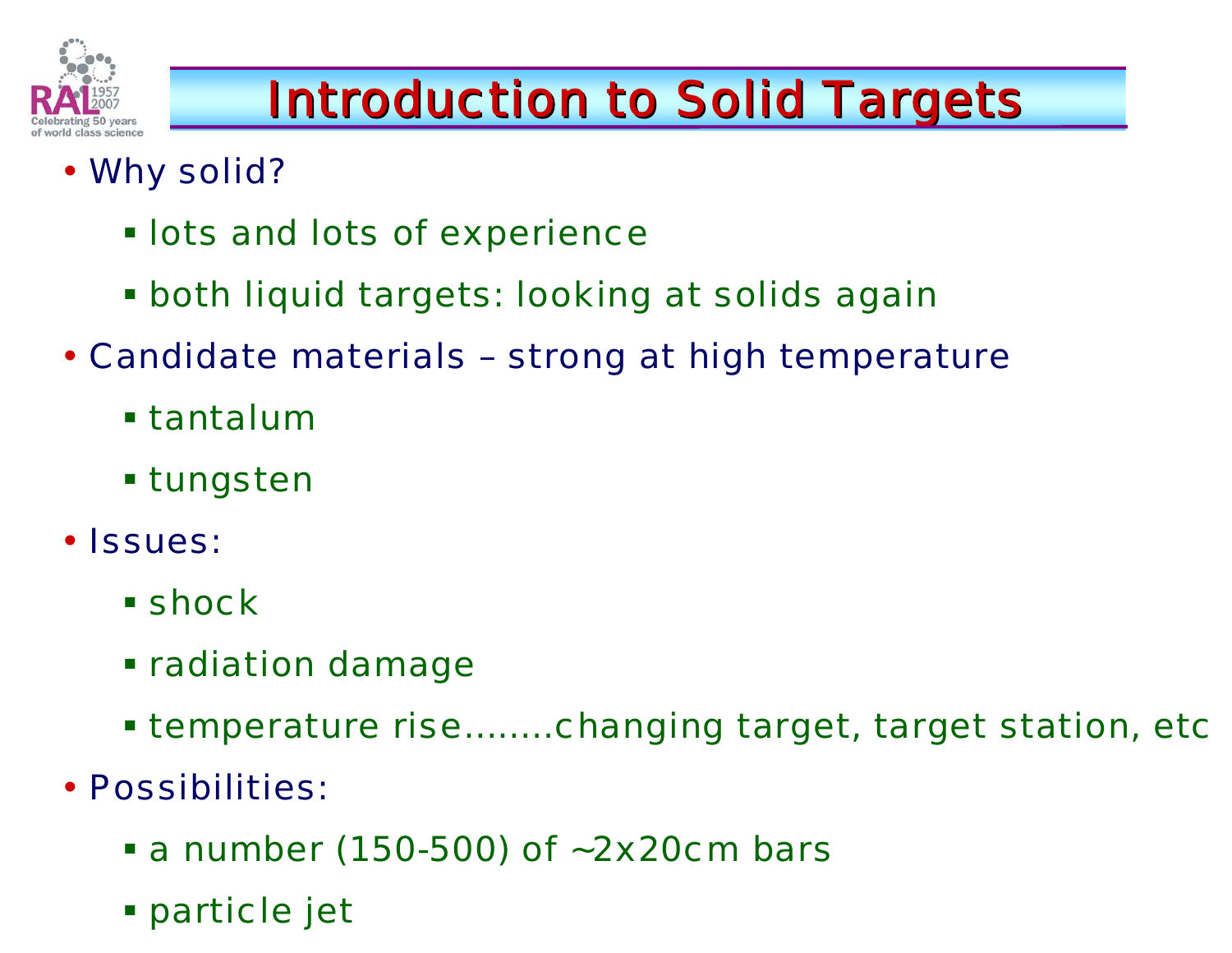

# **Introduction to Solid Targets**

- Why solid?
	- **. lots and lots of experience**
	- both liquid targets: looking at solids again
- Candidate materials strong at high temperature
	- tantalum
	- tungsten
- Issues:
	- **E** shock
	- **Example 1 Finanage Theorem**
	- temperature rise……..changing target, target station, etc
- Possibilities:
	- a number (150-500) of ~2x20cm bars
	- particle jet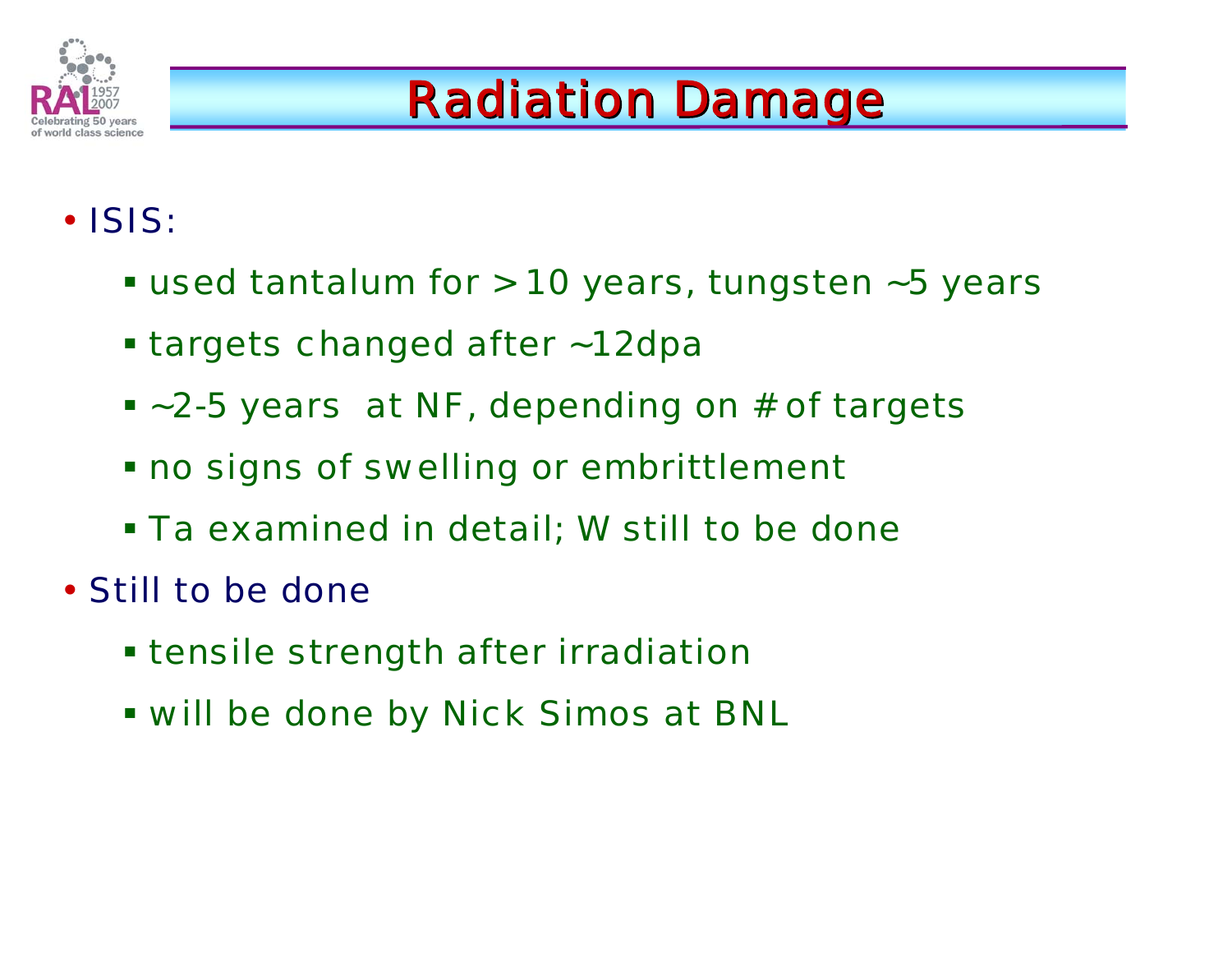

## **Radiation Damage**

### • ISIS:

- used tantalum for > 10 years, tungsten ~5 years
- **Example 12 Thanged after ~12dpa**
- ~2-5 years at NF, depending on # of targets
- no signs of swelling or embrittlement
- Ta examined in detail; W still to be done
- Still to be done
	- **Extength after irradiation .**
	- will be done by Nick Simos at BNL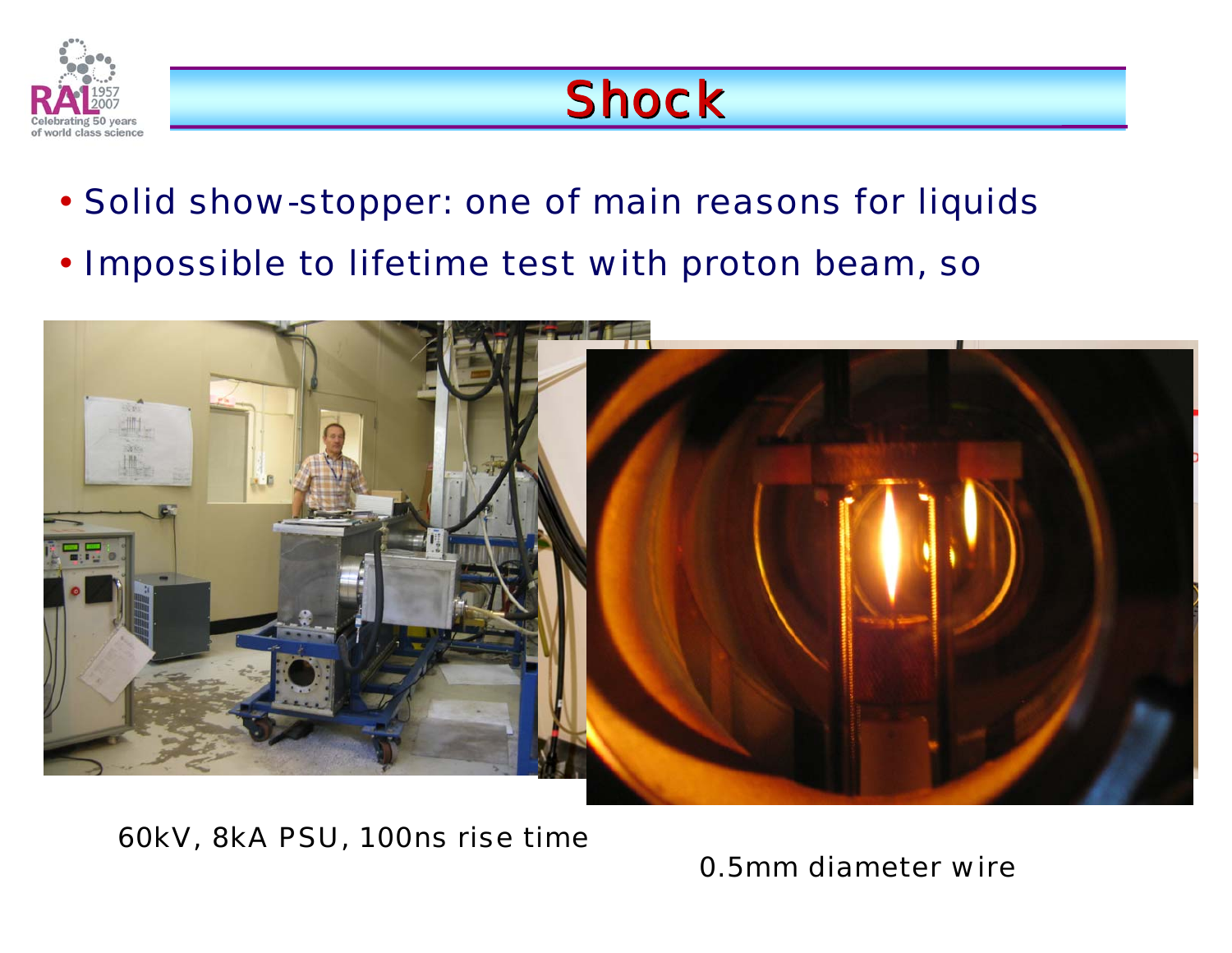

### **Shock**

- Solid show-stopper: one of main reasons for liquids
- $\bullet$ Impossible to lifetime test with proton beam, so



60kV, 8kA PSU, 100ns rise time

0.5mm diameter wire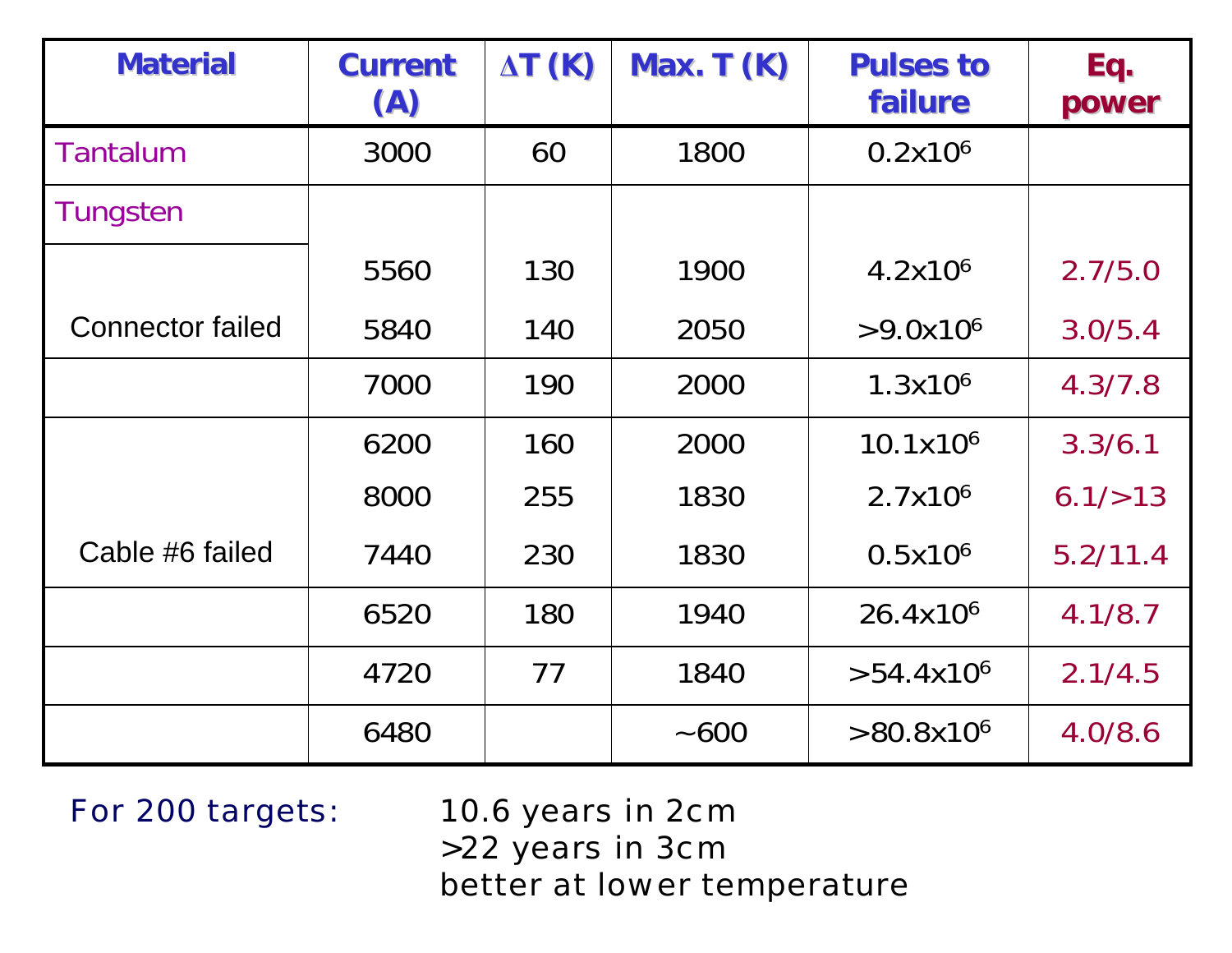| <b>Material</b>         | <b>Current</b><br>(A) | $\Delta T$ (K) | Max. $T(K)$ | <b>Pulses to</b><br>failure | Eq.<br>power |
|-------------------------|-----------------------|----------------|-------------|-----------------------------|--------------|
| <b>Tantalum</b>         | 3000                  | 60             | 1800        | 0.2x10 <sup>6</sup>         |              |
| Tungsten                |                       |                |             |                             |              |
|                         | 5560                  | 130            | 1900        | 4.2x10 <sup>6</sup>         | 2.7/5.0      |
| <b>Connector failed</b> | 5840                  | 140            | 2050        | $>9.0x10^6$                 | 3.0/5.4      |
|                         | 7000                  | 190            | 2000        | 1.3x10 <sup>6</sup>         | 4.3/7.8      |
|                         | 6200                  | 160            | 2000        | 10.1x10 <sup>6</sup>        | 3.3/6.1      |
|                         | 8000                  | 255            | 1830        | 2.7x10 <sup>6</sup>         | 6.1/>13      |
| Cable #6 failed         | 7440                  | 230            | 1830        | $0.5x10^6$                  | 5.2/11.4     |
|                         | 6520                  | 180            | 1940        | 26.4x10 <sup>6</sup>        | 4.1/8.7      |
|                         | 4720                  | 77             | 1840        | $>54.4x10^6$                | 2.1/4.5      |
|                         | 6480                  |                | ~100        | $>80.8x10^6$                | 4.0/8.6      |

For 200 targets: 10.6 years in 2cm >22 years in 3cm better at lower temperature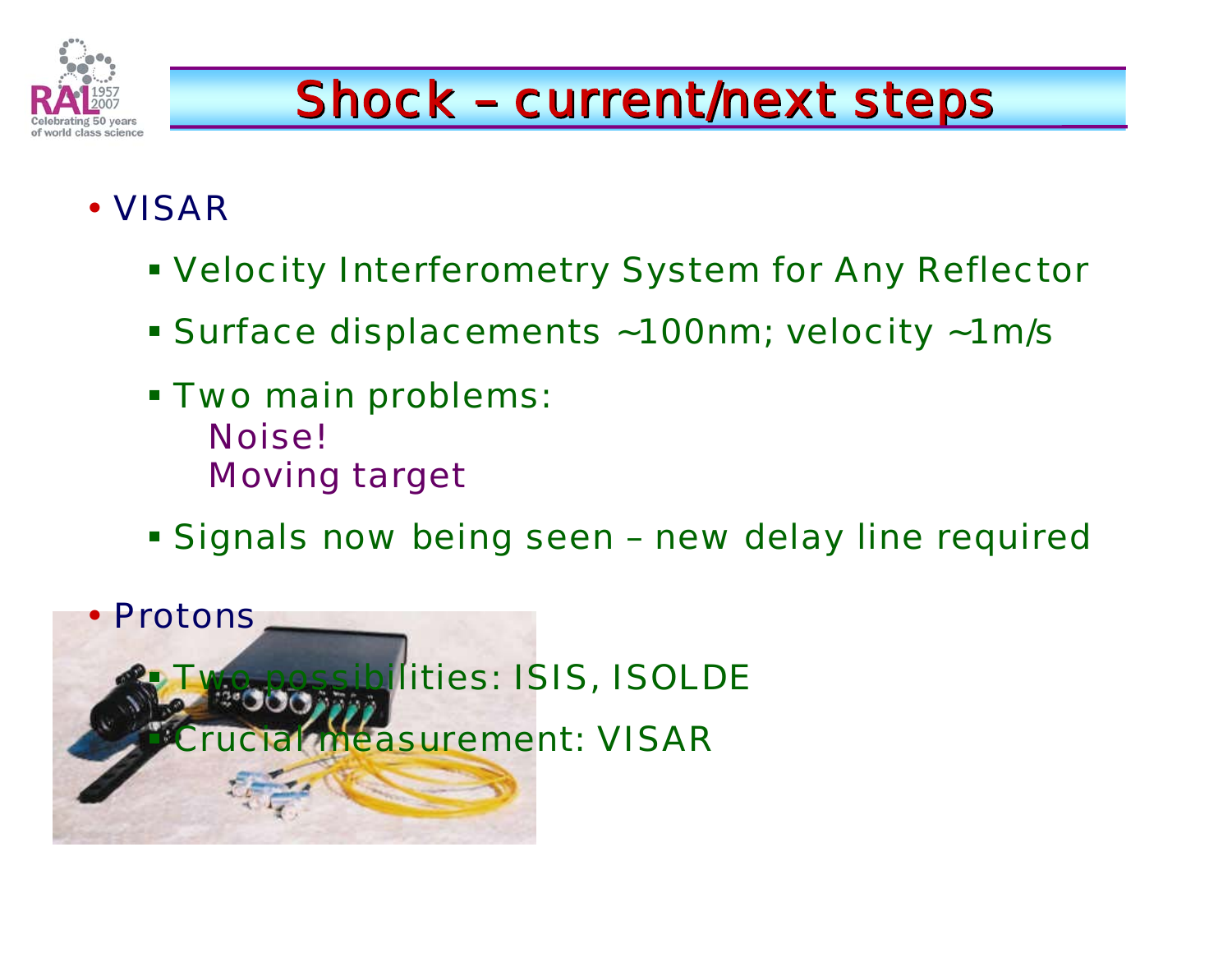

# Shock - current/next steps

### • VISAR

- Velocity Interferometry System for Any Reflector
- Surface displacements ~100nm; velocity ~1m/s
- Two main problems: Noise!Moving target
- **Signals now being seen new delay line required**

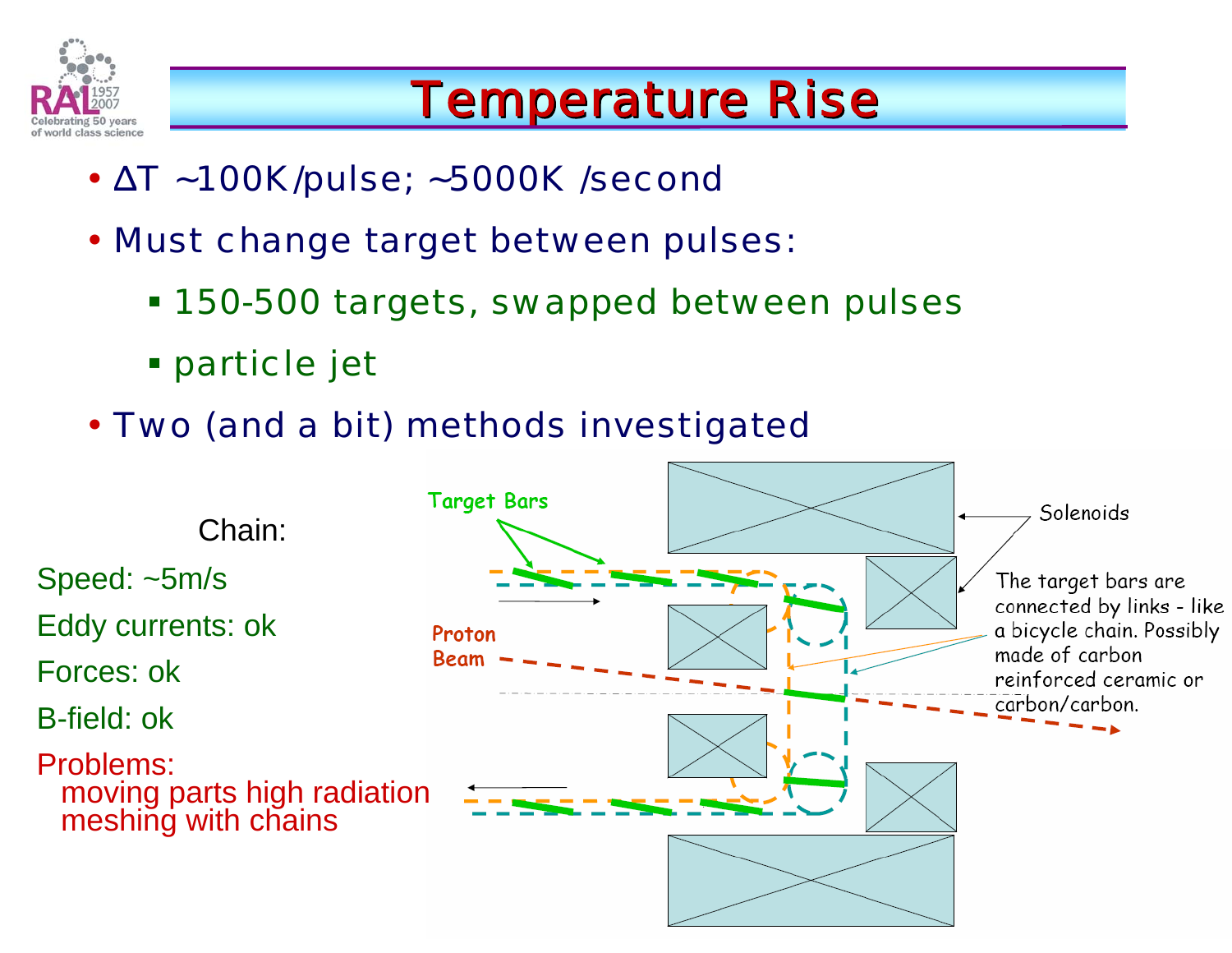

### **Temperature Rise**

- ΔT ~100K/pulse; ~5000K /second
- Must change target between pulses:
	- 150-500 targets, swapped between pulses
	- particle jet
- Two (and a bit) methods investigated

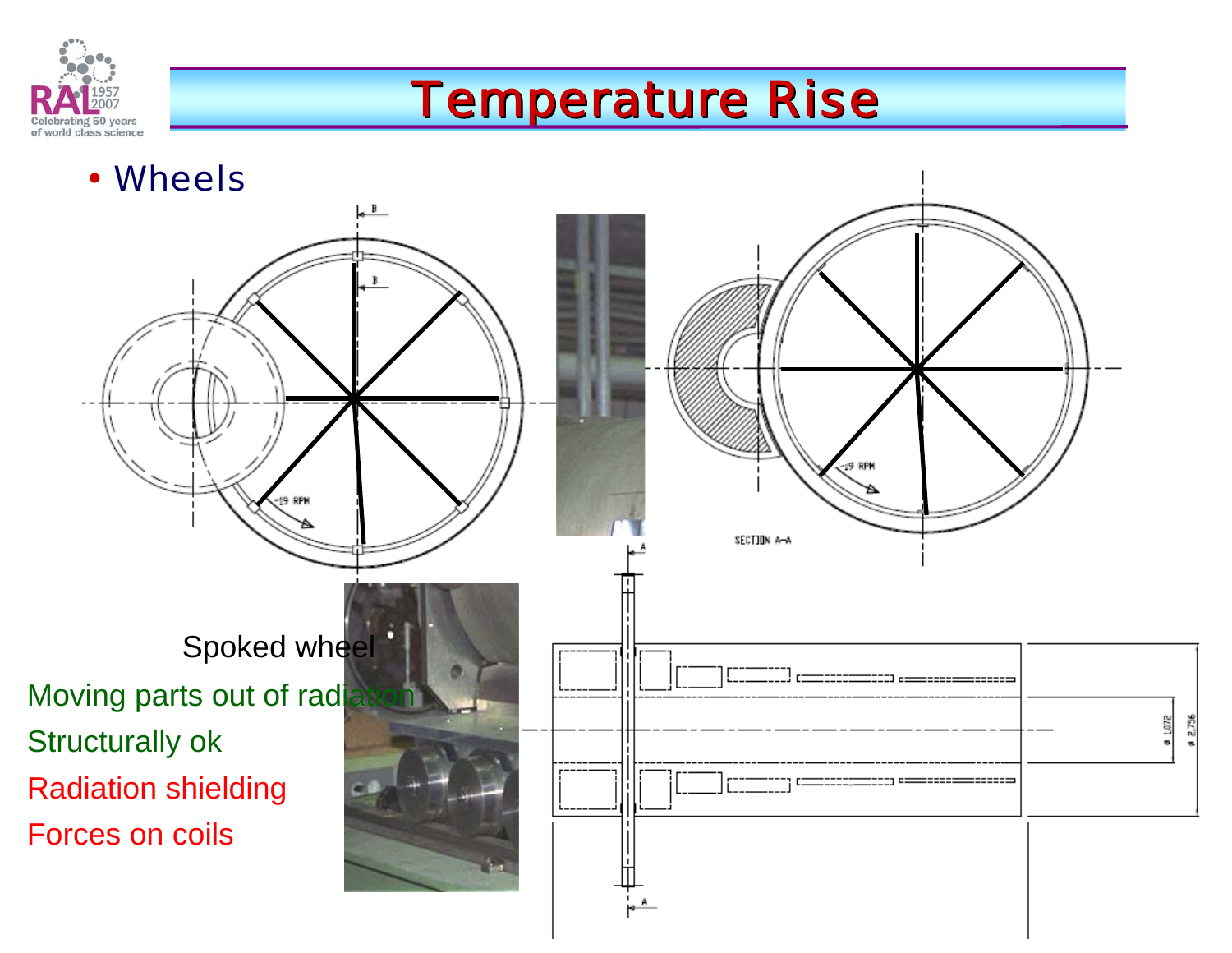

### **Temperature Rise**

• Wheels

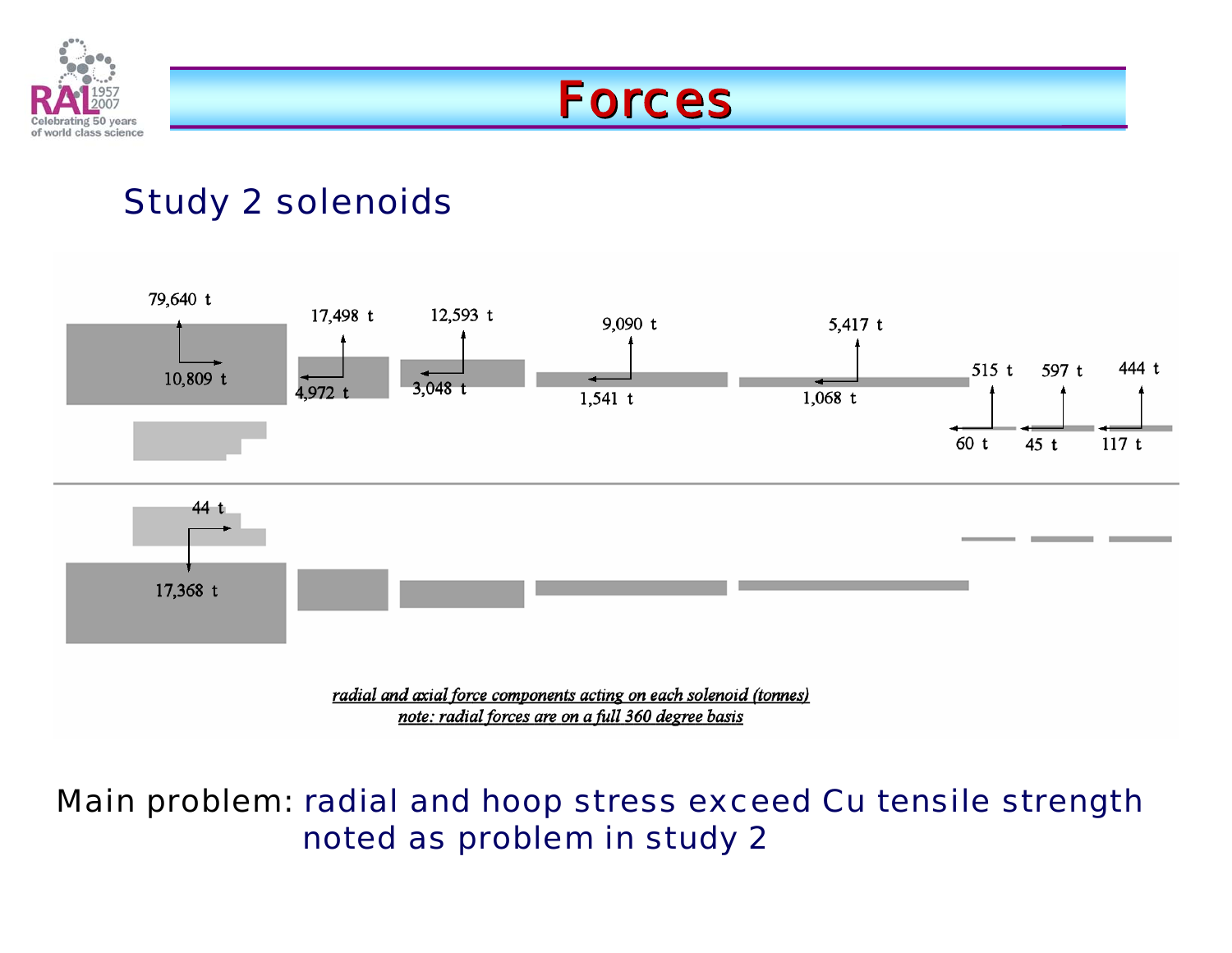

### Forces

### Study 2 solenoids



#### Main problem: radial and hoop stress exceed Cu tensile strength noted as problem in study 2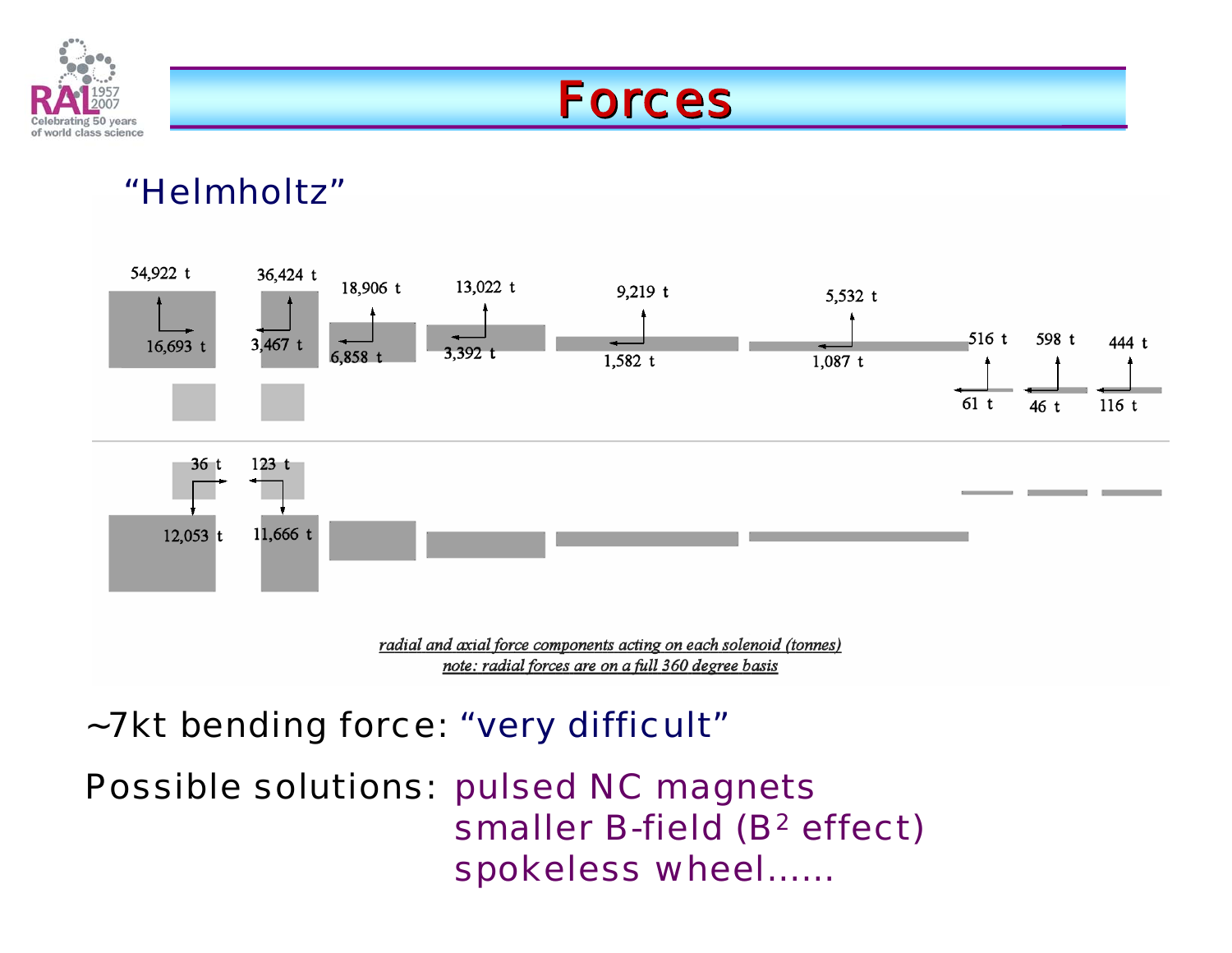

### Forces

#### "Helmholtz"



### ~7kt bending force: "very difficult"

Possible solutions: pulsed NC magnets smaller B-field (B<sup>2</sup> effect) spokeless wheel……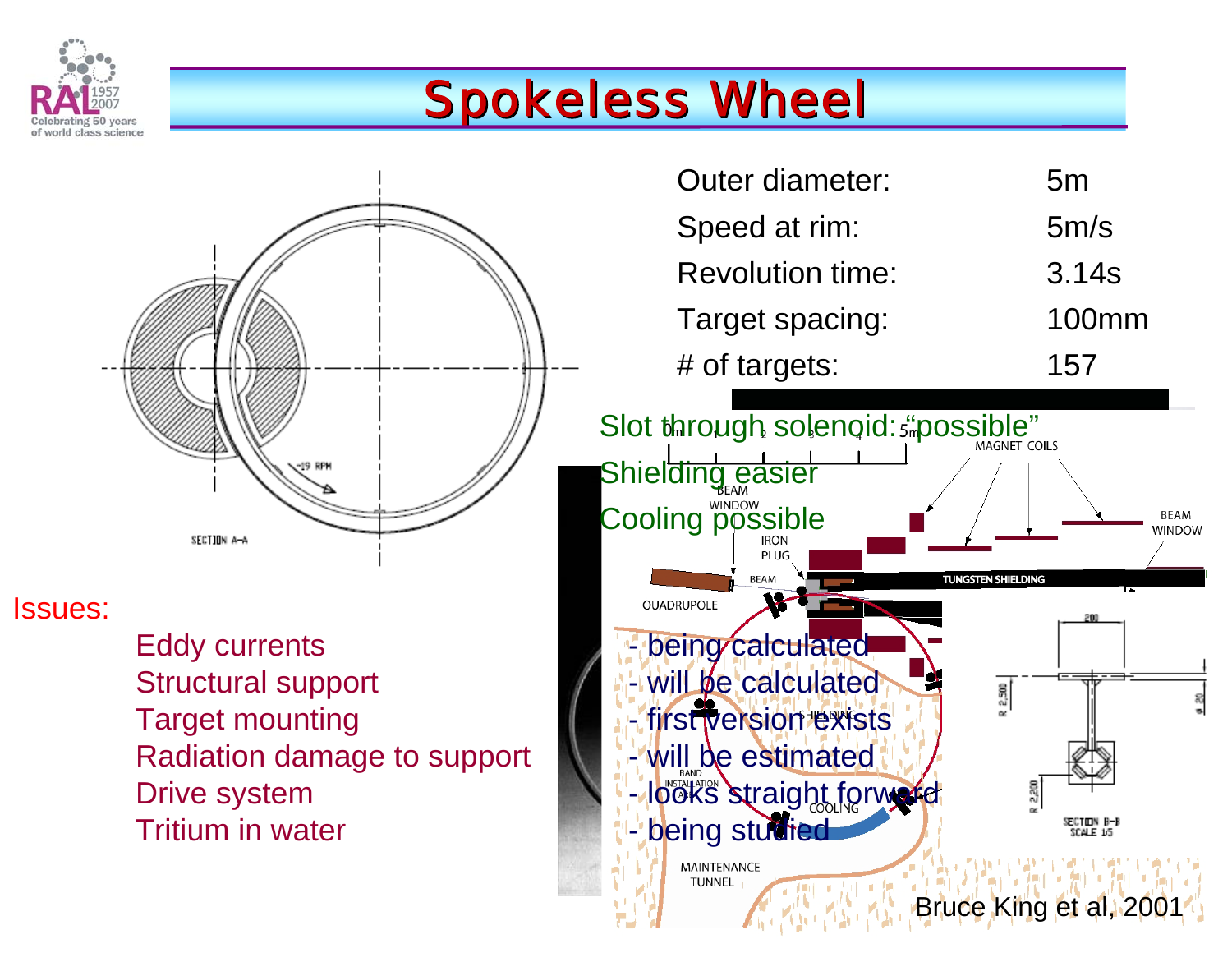

# **Spokeless Wheel**



Tritium in water

| <b>Outer diameter:</b>  | 5 <sub>m</sub> |  |
|-------------------------|----------------|--|
| Speed at rim:           | 5m/s           |  |
| <b>Revolution time:</b> | 3.14s          |  |
| Target spacing:         | 100mm          |  |
| # of targets:           | 157            |  |

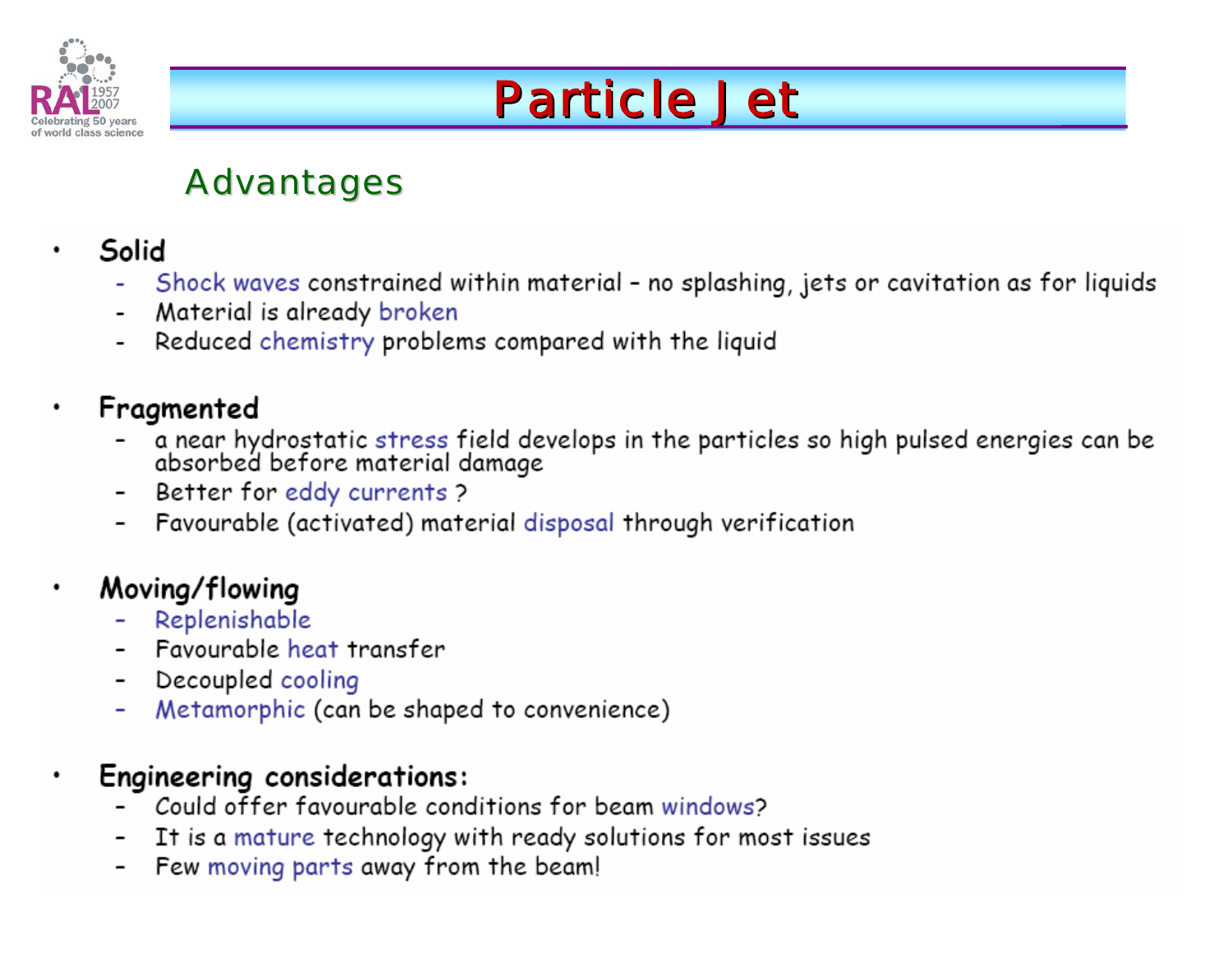

# **Particle Jet**

### **Advantages**

- Solid
	- Shock waves constrained within material no splashing, jets or cavitation as for liquids
	- Material is already broken  $\overline{\phantom{a}}$
	- Reduced chemistry problems compared with the liquid

#### Fragmented

- a near hydrostatic stress field develops in the particles so high pulsed energies can be absorbed before material damage
- Better for eddy currents ?
- Favourable (activated) material disposal through verification

#### Moving/flowing

- Replenishable
- Favourable heat transfer
- Decoupled cooling
- Metamorphic (can be shaped to convenience)

#### **Engineering considerations:**

- Could offer favourable conditions for beam windows?
- It is a mature technology with ready solutions for most issues
- Few moving parts away from the beam!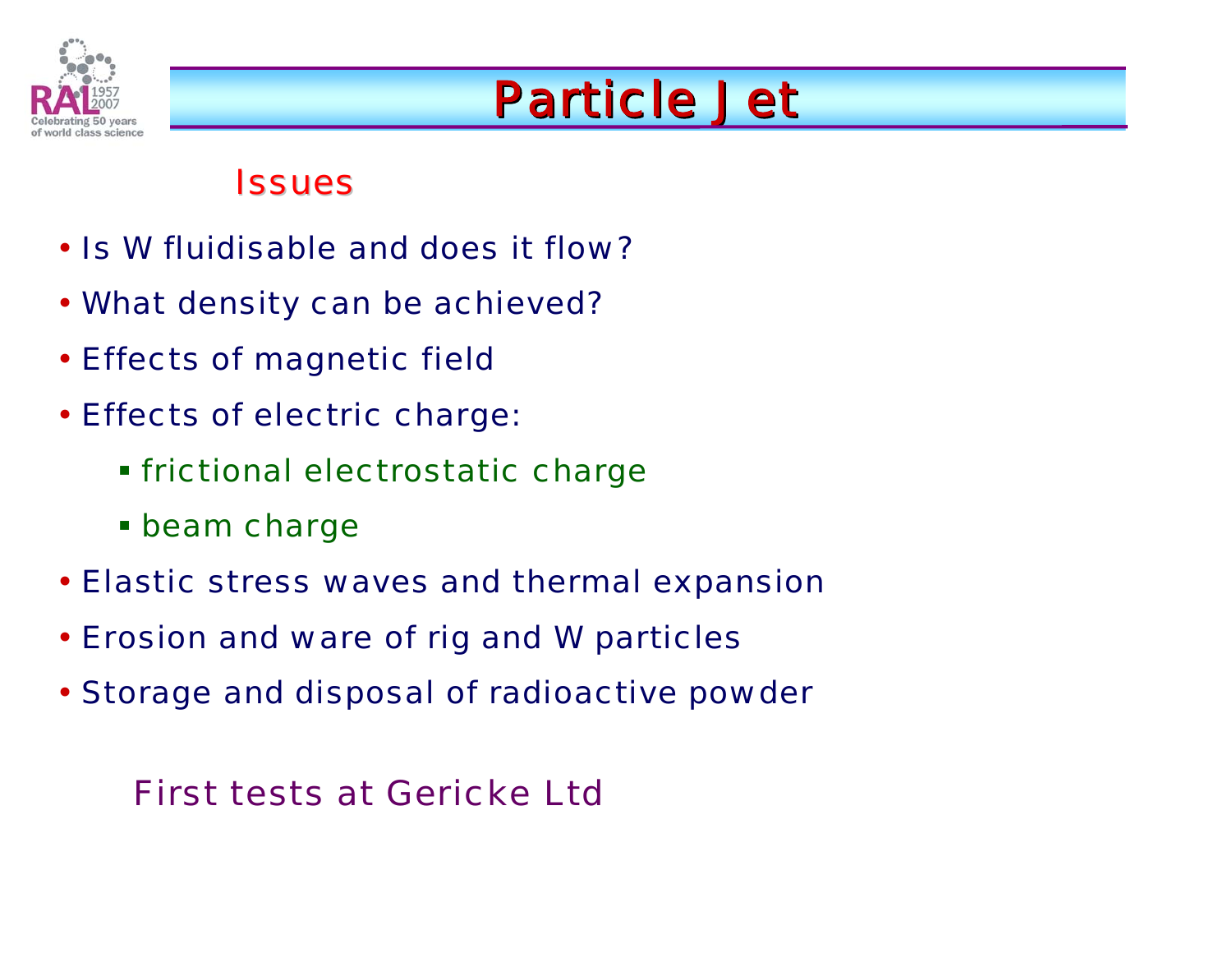

# **Particle Jet**

#### **Issues**

- Is W fluidisable and does it flow?
- What density can be achieved?
- Effects of magnetic field
- Effects of electric charge:
	- frictional electrostatic charge
	- **Exam charge**
- Elastic stress waves and thermal expansion
- Erosion and ware of rig and W particles
- Storage and disposal of radioactive powder

### First tests at Gericke Ltd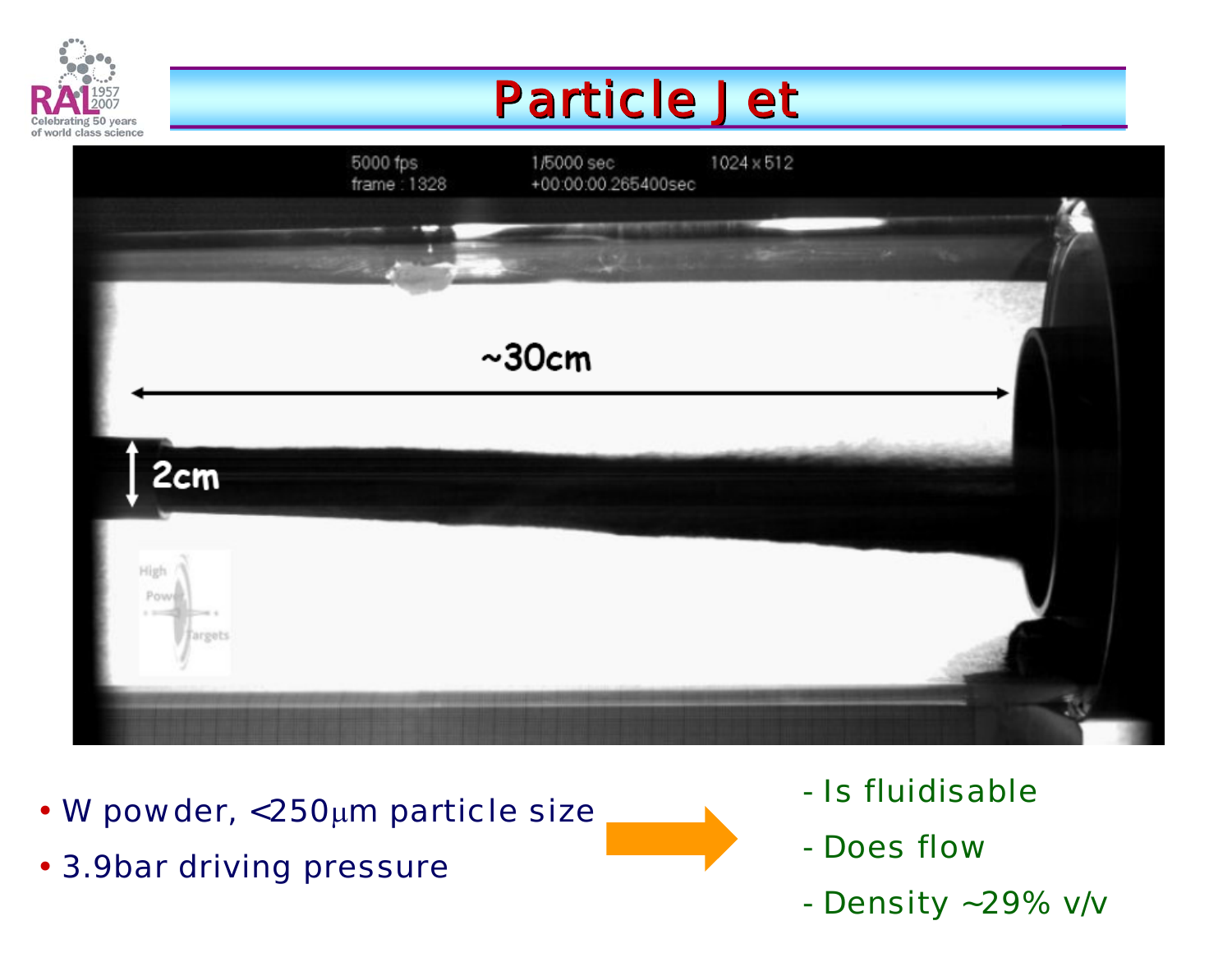

# **Particle Jet**



- W powder, <250μm particle size
- 3.9bar driving pressure
- Is fluidisable
- Does flow
- Density ~29% v/v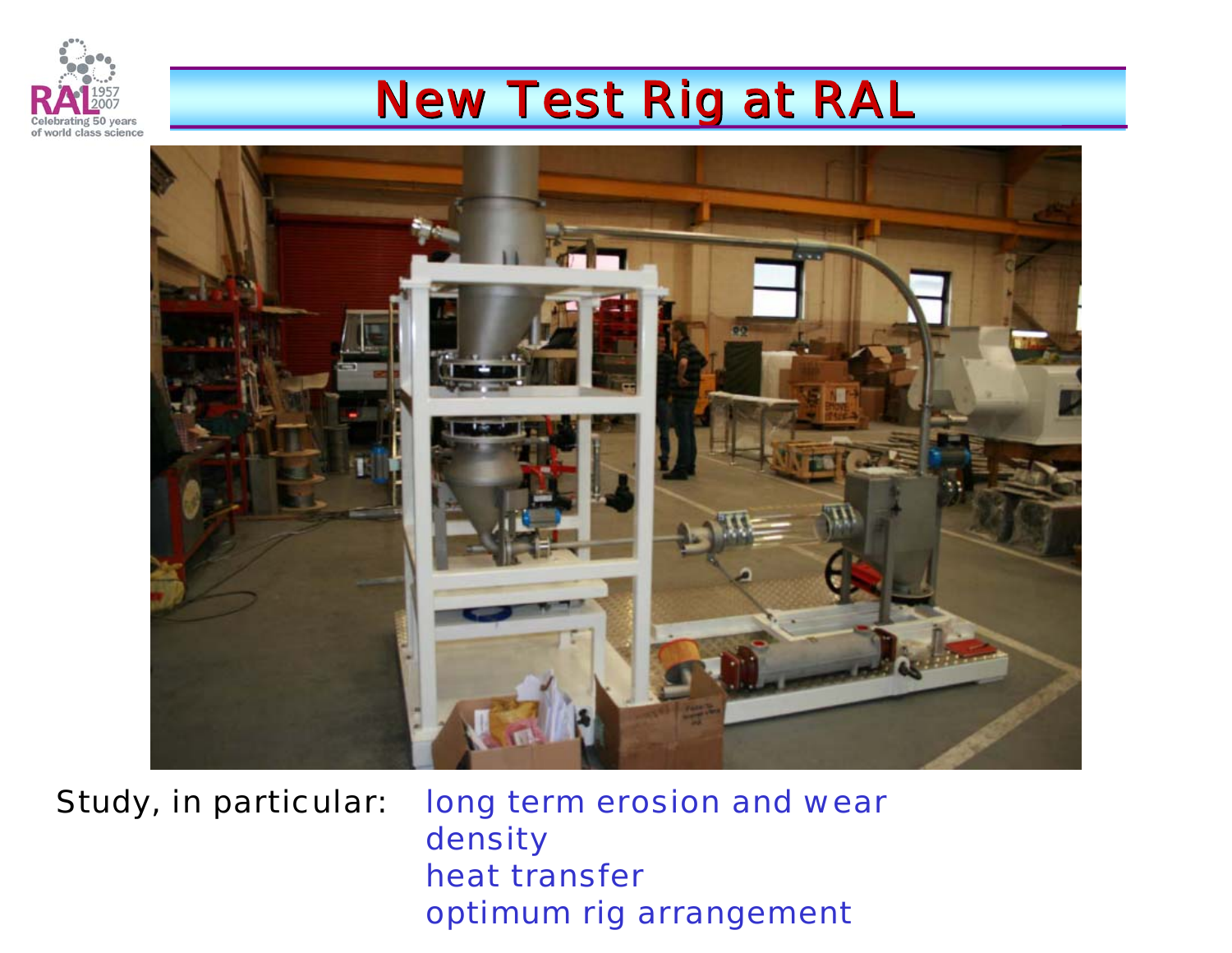

### **New Test Rig at RAL**



Study, in particular: long term erosion and wear density heat transfer optimum rig arrangement